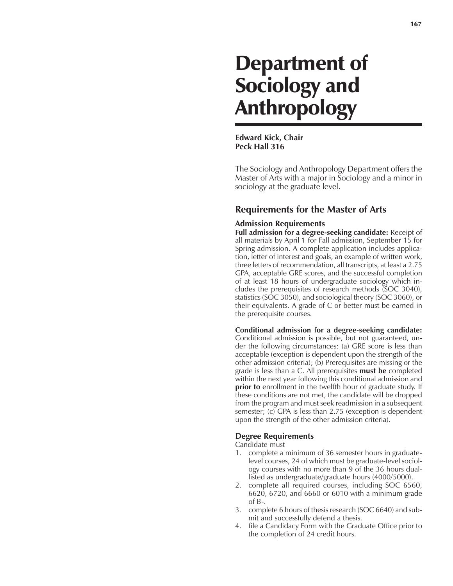# Department of Sociology and Anthropology

**Edward Kick, Chair Peck Hall 316**

The Sociology and Anthropology Department offers the Master of Arts with a major in Sociology and a minor in sociology at the graduate level.

## **Requirements for the Master of Arts**

#### **Admission Requirements**

**Full admission for a degree-seeking candidate:** Receipt of all materials by April 1 for Fall admission, September 15 for Spring admission. A complete application includes application, letter of interest and goals, an example of written work, three letters of recommendation, all transcripts, at least a 2.75 GPA, acceptable GRE scores, and the successful completion of at least 18 hours of undergraduate sociology which includes the prerequisites of research methods (SOC 3040), statistics (SOC 3050), and sociological theory (SOC 3060), or their equivalents. A grade of C or better must be earned in the prerequisite courses.

**Conditional admission for a degree-seeking candidate:** Conditional admission is possible, but not guaranteed, under the following circumstances: (a) GRE score is less than acceptable (exception is dependent upon the strength of the other admission criteria); (b) Prerequisites are missing or the grade is less than a C. All prerequisites **must be** completed within the next year following this conditional admission and **prior to** enrollment in the twelfth hour of graduate study. If these conditions are not met, the candidate will be dropped from the program and must seek readmission in a subsequent semester; (c) GPA is less than 2.75 (exception is dependent upon the strength of the other admission criteria).

#### **Degree Requirements**

Candidate must

- 1. complete a minimum of 36 semester hours in graduatelevel courses, 24 of which must be graduate-level sociology courses with no more than 9 of the 36 hours duallisted as undergraduate/graduate hours (4000/5000).
- 2. complete all required courses, including SOC 6560, 6620, 6720, and 6660 or 6010 with a minimum grade of B-.
- 3. complete 6 hours of thesis research (SOC 6640) and submit and successfully defend a thesis.
- 4. file a Candidacy Form with the Graduate Office prior to the completion of 24 credit hours.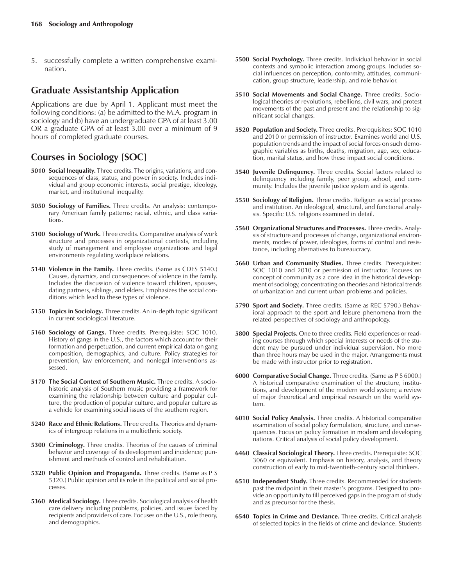5. successfully complete a written comprehensive examination.

## **Graduate Assistantship Application**

Applications are due by April 1. Applicant must meet the following conditions: (a) be admitted to the M.A. program in sociology and (b) have an undergraduate GPA of at least 3.00 OR a graduate GPA of at least 3.00 over a minimum of 9 hours of completed graduate courses.

# **Courses in Sociology [SOC]**

- **5010 Social Inequality.** Three credits. The origins, variations, and consequences of class, status, and power in society. Includes individual and group economic interests, social prestige, ideology, market, and institutional inequality.
- **5050 Sociology of Families.** Three credits. An analysis: contemporary American family patterns; racial, ethnic, and class variations.
- **5100 Sociology of Work.** Three credits. Comparative analysis of work structure and processes in organizational contexts, including study of management and employee organizations and legal environments regulating workplace relations.
- **5140 Violence in the Family.** Three credits. (Same as CDFS 5140.) Causes, dynamics, and consequences of violence in the family. Includes the discussion of violence toward children, spouses, dating partners, siblings, and elders. Emphasizes the social conditions which lead to these types of violence.
- **5150 Topics in Sociology.** Three credits. An in-depth topic significant in current sociological literature.
- **5160 Sociology of Gangs.** Three credits. Prerequisite: SOC 1010. History of gangs in the U.S., the factors which account for their formation and perpetuation, and current empirical data on gang composition, demographics, and culture. Policy strategies for prevention, law enforcement, and nonlegal interventions assessed.
- **5170 The Social Context of Southern Music.** Three credits. A sociohistoric analysis of Southern music providing a framework for examining the relationship between culture and popular culture, the production of popular culture, and popular culture as a vehicle for examining social issues of the southern region.
- **5240 Race and Ethnic Relations.** Three credits. Theories and dynamics of intergroup relations in a multiethnic society.
- **5300 Criminology.** Three credits. Theories of the causes of criminal behavior and coverage of its development and incidence; punishment and methods of control and rehabilitation.
- **5320 Public Opinion and Propaganda.** Three credits. (Same as P S 5320.) Public opinion and its role in the political and social processes.
- **5360 Medical Sociology.** Three credits. Sociological analysis of health care delivery including problems, policies, and issues faced by recipients and providers of care. Focuses on the U.S., role theory, and demographics.
- **5500 Social Psychology.** Three credits. Individual behavior in social contexts and symbolic interaction among groups. Includes social influences on perception, conformity, attitudes, communication, group structure, leadership, and role behavior.
- **5510 Social Movements and Social Change.** Three credits. Sociological theories of revolutions, rebellions, civil wars, and protest movements of the past and present and the relationship to significant social changes.
- **5520 Population and Society.** Three credits. Prerequisites: SOC 1010 and 2010 or permission of instructor. Examines world and U.S. population trends and the impact of social forces on such demographic variables as births, deaths, migration, age, sex, education, marital status, and how these impact social conditions.
- **5540 Juvenile Delinquency.** Three credits. Social factors related to delinquency including family, peer group, school, and community. Includes the juvenile justice system and its agents.
- **5550 Sociology of Religion.** Three credits. Religion as social process and institution. An ideological, structural, and functional analysis. Specific U.S. religions examined in detail.
- **5560 Organizational Structures and Processes.** Three credits. Analysis of structure and processes of change, organizational environments, modes of power, ideologies, forms of control and resistance, including alternatives to bureaucracy.
- **5660 Urban and Community Studies.** Three credits. Prerequisites: SOC 1010 and 2010 or permission of instructor. Focuses on concept of community as a core idea in the historical development of sociology, concentrating on theories and historical trends of urbanization and current urban problems and policies.
- **5790 Sport and Society.** Three credits. (Same as REC 5790.) Behavioral approach to the sport and leisure phenomena from the related perspectives of sociology and anthropology.
- **5800 Special Projects.** One to three credits. Field experiences or reading courses through which special interests or needs of the student may be pursued under individual supervision. No more than three hours may be used in the major. Arrangements must be made with instructor prior to registration.
- **6000 Comparative Social Change.** Three credits. (Same as P S 6000.) A historical comparative examination of the structure, institutions, and development of the modern world system; a review of major theoretical and empirical research on the world system.
- **6010 Social Policy Analysis.** Three credits. A historical comparative examination of social policy formulation, structure, and consequences. Focus on policy formation in modern and developing nations. Critical analysis of social policy development.
- **6460 Classical Sociological Theory.** Three credits. Prerequisite: SOC 3060 or equivalent. Emphasis on history, analysis, and theory construction of early to mid-twentieth-century social thinkers.
- **6510 Independent Study.** Three credits. Recommended for students past the midpoint in their master's programs. Designed to provide an opportunity to fill perceived gaps in the program of study and as precursor for the thesis.
- **6540 Topics in Crime and Deviance.** Three credits. Critical analysis of selected topics in the fields of crime and deviance. Students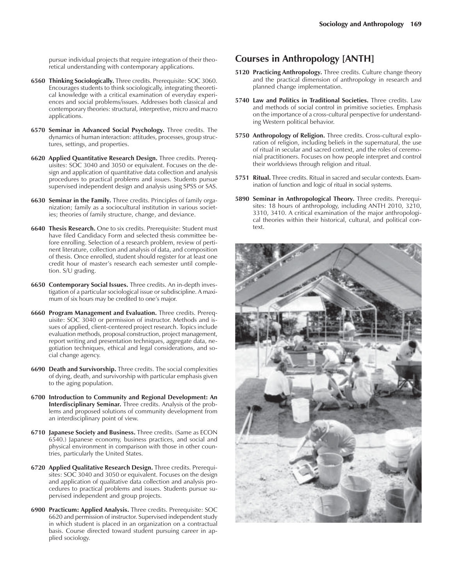pursue individual projects that require integration of their theoretical understanding with contemporary applications.

- **6560 Thinking Sociologically.** Three credits. Prerequisite: SOC 3060. Encourages students to think sociologically, integrating theoretical knowledge with a critical examination of everyday experiences and social problems/issues. Addresses both classical and contemporary theories: structural, interpretive, micro and macro applications.
- **6570 Seminar in Advanced Social Psychology.** Three credits. The dynamics of human interaction: attitudes, processes, group structures, settings, and properties.
- **6620 Applied Quantitative Research Design.** Three credits. Prerequisites: SOC 3040 and 3050 or equivalent. Focuses on the design and application of quantitative data collection and analysis procedures to practical problems and issues. Students pursue supervised independent design and analysis using SPSS or SAS.
- **6630 Seminar in the Family.** Three credits. Principles of family organization; family as a sociocultural institution in various societies; theories of family structure, change, and deviance.
- **6640 Thesis Research.** One to six credits. Prerequisite: Student must have filed Candidacy Form and selected thesis committee before enrolling. Selection of a research problem, review of pertinent literature, collection and analysis of data, and composition of thesis. Once enrolled, student should register for at least one credit hour of master's research each semester until completion. S/U grading.
- **6650 Contemporary Social Issues.** Three credits. An in-depth investigation of a particular sociological issue or subdiscipline. A maximum of six hours may be credited to one's major.
- **6660 Program Management and Evaluation.** Three credits. Prerequisite: SOC 3040 or permission of instructor. Methods and issues of applied, client-centered project research. Topics include evaluation methods, proposal construction, project management, report writing and presentation techniques, aggregate data, negotiation techniques, ethical and legal considerations, and social change agency.
- **6690 Death and Survivorship.** Three credits. The social complexities of dying, death, and survivorship with particular emphasis given to the aging population.
- **6700 Introduction to Community and Regional Development: An Interdisciplinary Seminar.** Three credits. Analysis of the problems and proposed solutions of community development from an interdisciplinary point of view.
- **6710 Japanese Society and Business.** Three credits. (Same as ECON 6540.) Japanese economy, business practices, and social and physical environment in comparison with those in other countries, particularly the United States.
- **6720 Applied Qualitative Research Design.** Three credits. Prerequisites: SOC 3040 and 3050 or equivalent. Focuses on the design and application of qualitative data collection and analysis procedures to practical problems and issues. Students pursue supervised independent and group projects.
- **6900 Practicum: Applied Analysis.** Three credits. Prerequisite: SOC 6620 and permission of instructor. Supervised independent study in which student is placed in an organization on a contractual basis. Course directed toward student pursuing career in applied sociology.

## **Courses in Anthropology [ANTH]**

- **5120 Practicing Anthropology.** Three credits. Culture change theory and the practical dimension of anthropology in research and planned change implementation.
- **5740 Law and Politics in Traditional Societies.** Three credits. Law and methods of social control in primitive societies. Emphasis on the importance of a cross-cultural perspective for understanding Western political behavior.
- **5750 Anthropology of Religion.** Three credits. Cross-cultural exploration of religion, including beliefs in the supernatural, the use of ritual in secular and sacred context, and the roles of ceremonial practitioners. Focuses on how people interpret and control their worldviews through religion and ritual.
- **5751 Ritual.** Three credits. Ritual in sacred and secular contexts. Examination of function and logic of ritual in social systems.
- **5890 Seminar in Anthropological Theory.** Three credits. Prerequisites: 18 hours of anthropology, including ANTH 2010, 3210, 3310, 3410. A critical examination of the major anthropological theories within their historical, cultural, and political context.